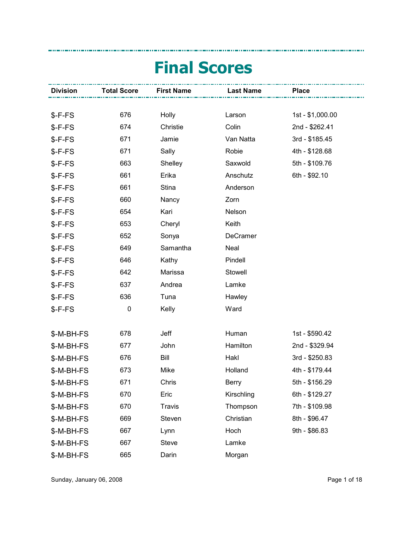## Final Scores

| <b>Division</b> | <b>Total Score</b> | <b>First Name</b> | <b>Last Name</b> | <b>Place</b>     |  |
|-----------------|--------------------|-------------------|------------------|------------------|--|
|                 |                    |                   |                  |                  |  |
| $S-F-FS$        | 676                | Holly             | Larson           | 1st - \$1,000.00 |  |
| $$-F-FS$        | 674                | Christie          | Colin            | 2nd - \$262.41   |  |
| $$-F-FS$        | 671                | Jamie             | Van Natta        | 3rd - \$185.45   |  |
| $$-F-FS$        | 671                | Sally             | Robie            | 4th - \$128.68   |  |
| \$-F-FS         | 663                | Shelley           | Saxwold          | 5th - \$109.76   |  |
| $$-F-FS$        | 661                | Erika             | Anschutz         | 6th - \$92.10    |  |
| \$-F-FS         | 661                | <b>Stina</b>      | Anderson         |                  |  |
| $$-F-FS$        | 660                | Nancy             | Zorn             |                  |  |
| \$-F-FS         | 654                | Kari              | Nelson           |                  |  |
| $$-F-FS$        | 653                | Cheryl            | Keith            |                  |  |
| \$-F-FS         | 652                | Sonya             | DeCramer         |                  |  |
| $$-F-FS$        | 649                | Samantha          | Neal             |                  |  |
| \$-F-FS         | 646                | Kathy             | Pindell          |                  |  |
| $$-F-FS$        | 642                | Marissa           | Stowell          |                  |  |
| \$-F-FS         | 637                | Andrea            | Lamke            |                  |  |
| \$-F-FS         | 636                | Tuna              | Hawley           |                  |  |
| \$-F-FS         | 0                  | Kelly             | Ward             |                  |  |
|                 |                    |                   |                  |                  |  |
| \$-M-BH-FS      | 678                | Jeff              | Human            | 1st - \$590.42   |  |
| \$-M-BH-FS      | 677                | John              | Hamilton         | 2nd - \$329.94   |  |
| \$-M-BH-FS      | 676                | Bill              | Hakl             | 3rd - \$250.83   |  |
| \$-M-BH-FS      | 673                | Mike              | Holland          | 4th - \$179.44   |  |
| \$-M-BH-FS      | 671                | Chris             | Berry            | 5th - \$156.29   |  |
| \$-M-BH-FS      | 670                | Eric              | Kirschling       | 6th - \$129.27   |  |
| \$-M-BH-FS      | 670                | <b>Travis</b>     | Thompson         | 7th - \$109.98   |  |
| \$-M-BH-FS      | 669                | Steven            | Christian        | 8th - \$96.47    |  |
| \$-M-BH-FS      | 667                | Lynn              | Hoch             | 9th - \$86.83    |  |
| \$-M-BH-FS      | 667                | <b>Steve</b>      | Lamke            |                  |  |
| \$-M-BH-FS      | 665                | Darin             | Morgan           |                  |  |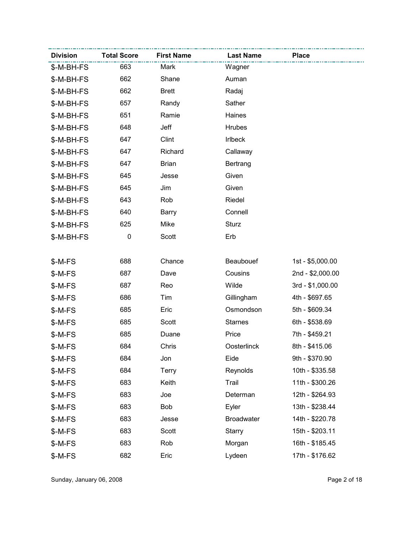| <b>Division</b> | <b>Total Score</b> | <b>First Name</b> | <b>Last Name</b>  | <b>Place</b>     |
|-----------------|--------------------|-------------------|-------------------|------------------|
| \$-M-BH-FS      | 663                | Mark              | Wagner            |                  |
| \$-M-BH-FS      | 662                | Shane             | Auman             |                  |
| \$-M-BH-FS      | 662                | <b>Brett</b>      | Radaj             |                  |
| \$-M-BH-FS      | 657                | Randy             | Sather            |                  |
| \$-M-BH-FS      | 651                | Ramie             | Haines            |                  |
| \$-M-BH-FS      | 648                | Jeff              | <b>Hrubes</b>     |                  |
| \$-M-BH-FS      | 647                | Clint             | Irlbeck           |                  |
| \$-M-BH-FS      | 647                | Richard           | Callaway          |                  |
| \$-M-BH-FS      | 647                | <b>Brian</b>      | Bertrang          |                  |
| \$-M-BH-FS      | 645                | Jesse             | Given             |                  |
| \$-M-BH-FS      | 645                | Jim               | Given             |                  |
| \$-M-BH-FS      | 643                | Rob               | Riedel            |                  |
| \$-M-BH-FS      | 640                | Barry             | Connell           |                  |
| \$-M-BH-FS      | 625                | Mike              | <b>Sturz</b>      |                  |
| \$-M-BH-FS      | 0                  | Scott             | Erb               |                  |
|                 |                    |                   |                   |                  |
| \$-M-FS         | 688                | Chance            | Beaubouef         | 1st - \$5,000.00 |
| \$-M-FS         | 687                | Dave              | Cousins           | 2nd - \$2,000.00 |
| \$-M-FS         | 687                | Reo               | Wilde             | 3rd - \$1,000.00 |
| \$-M-FS         | 686                | Tim               | Gillingham        | 4th - \$697.65   |
| $$-M-FS$        | 685                | Eric              | Osmondson         | 5th - \$609.34   |
| \$-M-FS         | 685                | Scott             | <b>Starnes</b>    | 6th - \$538.69   |
| \$-M-FS         | 685                | Duane             | Price             | 7th - \$459.21   |
| \$-M-FS         | 684                | Chris             | Oosterlinck       | 8th - \$415.06   |
| \$-M-FS         | 684                | Jon               | Eide              | 9th - \$370.90   |
| \$-M-FS         | 684                | <b>Terry</b>      | Reynolds          | 10th - \$335.58  |
| \$-M-FS         | 683                | Keith             | Trail             | 11th - \$300.26  |
| \$-M-FS         | 683                | Joe               | Determan          | 12th - \$264.93  |
| \$-M-FS         | 683                | Bob               | Eyler             | 13th - \$238.44  |
| \$-M-FS         | 683                | Jesse             | <b>Broadwater</b> | 14th - \$220.78  |
| \$-M-FS         | 683                | Scott             | <b>Starry</b>     | 15th - \$203.11  |
| \$-M-FS         | 683                | Rob               | Morgan            | 16th - \$185.45  |
| \$-M-FS         | 682                | Eric              | Lydeen            | 17th - \$176.62  |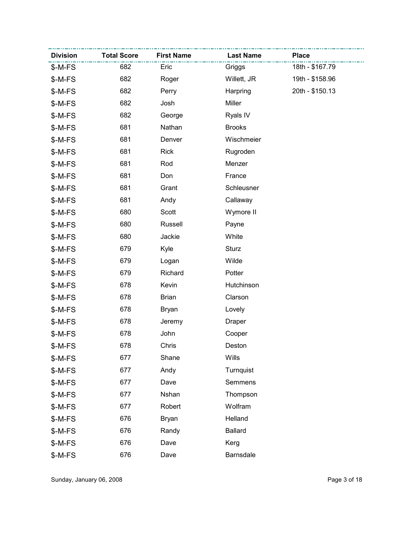| <b>Division</b> | <b>Total Score</b> | <b>First Name</b> | <b>Last Name</b> | <b>Place</b>    |
|-----------------|--------------------|-------------------|------------------|-----------------|
| \$-M-FS         | 682                | Eric              | Griggs           | 18th - \$167.79 |
| \$-M-FS         | 682                | Roger             | Willett, JR      | 19th - \$158.96 |
| \$-M-FS         | 682                | Perry             | Harpring         | 20th - \$150.13 |
| \$-M-FS         | 682                | Josh              | Miller           |                 |
| \$-M-FS         | 682                | George            | Ryals IV         |                 |
| \$-M-FS         | 681                | Nathan            | <b>Brooks</b>    |                 |
| \$-M-FS         | 681                | Denver            | Wischmeier       |                 |
| \$-M-FS         | 681                | <b>Rick</b>       | Rugroden         |                 |
| \$-M-FS         | 681                | Rod               | Menzer           |                 |
| \$-M-FS         | 681                | Don               | France           |                 |
| \$-M-FS         | 681                | Grant             | Schleusner       |                 |
| \$-M-FS         | 681                | Andy              | Callaway         |                 |
| \$-M-FS         | 680                | Scott             | Wymore II        |                 |
| \$-M-FS         | 680                | Russell           | Payne            |                 |
| \$-M-FS         | 680                | Jackie            | White            |                 |
| \$-M-FS         | 679                | Kyle              | <b>Sturz</b>     |                 |
| \$-M-FS         | 679                | Logan             | Wilde            |                 |
| \$-M-FS         | 679                | Richard           | Potter           |                 |
| \$-M-FS         | 678                | Kevin             | Hutchinson       |                 |
| \$-M-FS         | 678                | <b>Brian</b>      | Clarson          |                 |
| \$-M-FS         | 678                | <b>Bryan</b>      | Lovely           |                 |
| \$-M-FS         | 678                | Jeremy            | <b>Draper</b>    |                 |
| \$-M-FS         | 678                | John              | Cooper           |                 |
| \$-M-FS         | 678                | Chris             | Deston           |                 |
| \$-M-FS         | 677                | Shane             | Wills            |                 |
| \$-M-FS         | 677                | Andy              | Turnquist        |                 |
| \$-M-FS         | 677                | Dave              | Semmens          |                 |
| \$-M-FS         | 677                | Nshan             | Thompson         |                 |
| \$-M-FS         | 677                | Robert            | Wolfram          |                 |
| \$-M-FS         | 676                | <b>Bryan</b>      | Helland          |                 |
| \$-M-FS         | 676                | Randy             | <b>Ballard</b>   |                 |
| \$-M-FS         | 676                | Dave              | Kerg             |                 |
| \$-M-FS         | 676                | Dave              | Barnsdale        |                 |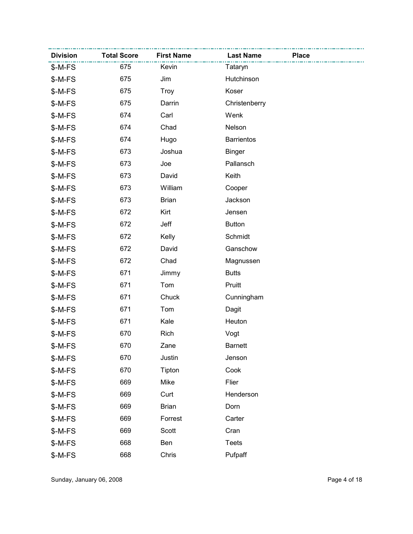| <b>Division</b> | <b>Total Score</b> | <b>First Name</b> | <b>Last Name</b>  | <b>Place</b> |
|-----------------|--------------------|-------------------|-------------------|--------------|
| \$-M-FS         | 675                | Kevin             | Tataryn           |              |
| $$-M-FS$        | 675                | Jim               | Hutchinson        |              |
| \$-M-FS         | 675                | <b>Troy</b>       | Koser             |              |
| \$-M-FS         | 675                | Darrin            | Christenberry     |              |
| \$-M-FS         | 674                | Carl              | Wenk              |              |
| \$-M-FS         | 674                | Chad              | Nelson            |              |
| \$-M-FS         | 674                | Hugo              | <b>Barrientos</b> |              |
| \$-M-FS         | 673                | Joshua            | <b>Binger</b>     |              |
| \$-M-FS         | 673                | Joe               | Pallansch         |              |
| \$-M-FS         | 673                | David             | Keith             |              |
| \$-M-FS         | 673                | William           | Cooper            |              |
| \$-M-FS         | 673                | <b>Brian</b>      | Jackson           |              |
| \$-M-FS         | 672                | Kirt              | Jensen            |              |
| \$-M-FS         | 672                | Jeff              | <b>Button</b>     |              |
| \$-M-FS         | 672                | Kelly             | Schmidt           |              |
| \$-M-FS         | 672                | David             | Ganschow          |              |
| \$-M-FS         | 672                | Chad              | Magnussen         |              |
| \$-M-FS         | 671                | Jimmy             | <b>Butts</b>      |              |
| \$-M-FS         | 671                | Tom               | Pruitt            |              |
| \$-M-FS         | 671                | Chuck             | Cunningham        |              |
| \$-M-FS         | 671                | Tom               | Dagit             |              |
| \$-M-FS         | 671                | Kale              | Heuton            |              |
| \$-M-FS         | 670                | Rich              | Vogt              |              |
| \$-M-FS         | 670                | Zane              | <b>Barnett</b>    |              |
| \$-M-FS         | 670                | Justin            | Jenson            |              |
| \$-M-FS         | 670                | Tipton            | Cook              |              |
| \$-M-FS         | 669                | Mike              | Flier             |              |
| \$-M-FS         | 669                | Curt              | Henderson         |              |
| \$-M-FS         | 669                | <b>Brian</b>      | Dorn              |              |
| \$-M-FS         | 669                | Forrest           | Carter            |              |
| \$-M-FS         | 669                | Scott             | Cran              |              |
| \$-M-FS         | 668                | Ben               | <b>Teets</b>      |              |
| \$-M-FS         | 668                | Chris             | Pufpaff           |              |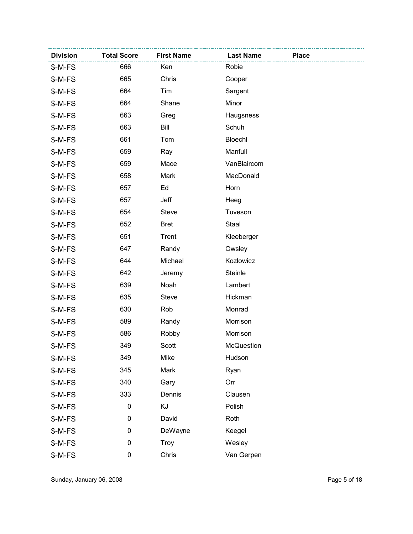| <b>Division</b> | <b>Total Score</b> | <b>First Name</b> | <b>Last Name</b>  | <b>Place</b> |
|-----------------|--------------------|-------------------|-------------------|--------------|
| \$-M-FS         | 666                | Ken               | Robie             |              |
| $$-M-FS$        | 665                | Chris             | Cooper            |              |
| $$-M-FS$        | 664                | Tim               | Sargent           |              |
| $$-M-FS$        | 664                | Shane             | Minor             |              |
| \$-M-FS         | 663                | Greg              | Haugsness         |              |
| $$-M-FS$        | 663                | Bill              | Schuh             |              |
| \$-M-FS         | 661                | Tom               | Bloechl           |              |
| $$-M-FS$        | 659                | Ray               | Manfull           |              |
| \$-M-FS         | 659                | Mace              | VanBlaircom       |              |
| $$-M-FS$        | 658                | Mark              | MacDonald         |              |
| \$-M-FS         | 657                | Ed                | Horn              |              |
| $$-M-FS$        | 657                | Jeff              | Heeg              |              |
| \$-M-FS         | 654                | <b>Steve</b>      | Tuveson           |              |
| \$-M-FS         | 652                | <b>Bret</b>       | Staal             |              |
| \$-M-FS         | 651                | Trent             | Kleeberger        |              |
| \$-M-FS         | 647                | Randy             | Owsley            |              |
| \$-M-FS         | 644                | Michael           | Kozlowicz         |              |
| \$-M-FS         | 642                | Jeremy            | Steinle           |              |
| \$-M-FS         | 639                | Noah              | Lambert           |              |
| $$-M-FS$        | 635                | <b>Steve</b>      | Hickman           |              |
| $$-M-FS$        | 630                | Rob               | Monrad            |              |
| \$-M-FS         | 589                | Randy             | Morrison          |              |
| \$-M-FS         | 586                | Robby             | Morrison          |              |
| \$-M-FS         | 349                | Scott             | <b>McQuestion</b> |              |
| \$-M-FS         | 349                | Mike              | Hudson            |              |
| \$-M-FS         | 345                | Mark              | Ryan              |              |
| \$-M-FS         | 340                | Gary              | Orr               |              |
| \$-M-FS         | 333                | Dennis            | Clausen           |              |
| \$-M-FS         | $\pmb{0}$          | KJ                | Polish            |              |
| \$-M-FS         | 0                  | David             | Roth              |              |
| \$-M-FS         | 0                  | DeWayne           | Keegel            |              |
| \$-M-FS         | 0                  | Troy              | Wesley            |              |
| \$-M-FS         | 0                  | Chris             | Van Gerpen        |              |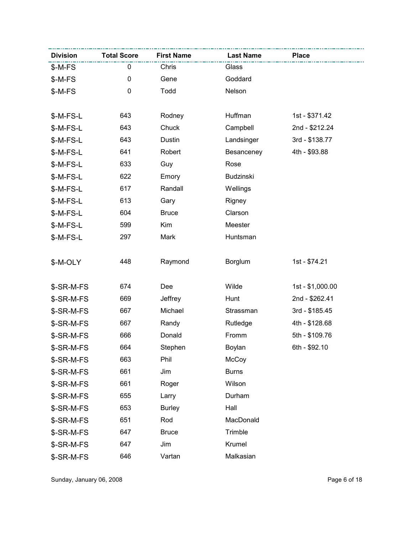| <b>Division</b> | <b>Total Score</b> | <b>First Name</b> | <b>Last Name</b> | <b>Place</b>     |
|-----------------|--------------------|-------------------|------------------|------------------|
| \$-M-FS         | 0                  | Chris             | Glass            |                  |
| $$-M-FS$        | 0                  | Gene              | Goddard          |                  |
| \$-M-FS         | 0                  | Todd              | Nelson           |                  |
|                 |                    |                   |                  |                  |
| $$-M-FS-L$      | 643                | Rodney            | Huffman          | 1st - \$371.42   |
| $$-M-FS-L$      | 643                | Chuck             | Campbell         | 2nd - \$212.24   |
| $$-M-FS-L$      | 643                | Dustin            | Landsinger       | 3rd - \$138.77   |
| $$-M-FS-L$      | 641                | Robert            | Besanceney       | 4th - \$93.88    |
| $$-M-FS-L$      | 633                | Guy               | Rose             |                  |
| $$-M-FS-L$      | 622                | Emory             | Budzinski        |                  |
| $$-M-FS-L$      | 617                | Randall           | Wellings         |                  |
| \$-M-FS-L       | 613                | Gary              | Rigney           |                  |
| $$-M-FS-L$      | 604                | <b>Bruce</b>      | Clarson          |                  |
| $$-M-FS-L$      | 599                | Kim               | Meester          |                  |
| \$-M-FS-L       | 297                | Mark              | Huntsman         |                  |
|                 |                    |                   |                  |                  |
| \$-M-OLY        | 448                | Raymond           | <b>Borglum</b>   | 1st - \$74.21    |
|                 |                    |                   |                  |                  |
| \$-SR-M-FS      | 674                | Dee               | Wilde            | 1st - \$1,000.00 |
| \$-SR-M-FS      | 669                | Jeffrey           | Hunt             | 2nd - \$262.41   |
| \$-SR-M-FS      | 667                | Michael           | Strassman        | 3rd - \$185.45   |
| \$-SR-M-FS      | 667                | Randy             | Rutledge         | 4th - \$128.68   |
| \$-SR-M-FS      | 666                | Donald            | Fromm            | 5th - \$109.76   |
| \$-SR-M-FS      | 664                | Stephen           | Boylan           | 6th - \$92.10    |
| \$-SR-M-FS      | 663                | Phil              | McCoy            |                  |
| \$-SR-M-FS      | 661                | Jim               | <b>Burns</b>     |                  |
| \$-SR-M-FS      | 661                | Roger             | Wilson           |                  |
| \$-SR-M-FS      | 655                | Larry             | Durham           |                  |
| \$-SR-M-FS      | 653                | <b>Burley</b>     | Hall             |                  |
| \$-SR-M-FS      | 651                | Rod               | MacDonald        |                  |
| \$-SR-M-FS      | 647                | <b>Bruce</b>      | Trimble          |                  |
| \$-SR-M-FS      | 647                | Jim               | Krumel           |                  |
| \$-SR-M-FS      | 646                | Vartan            | Malkasian        |                  |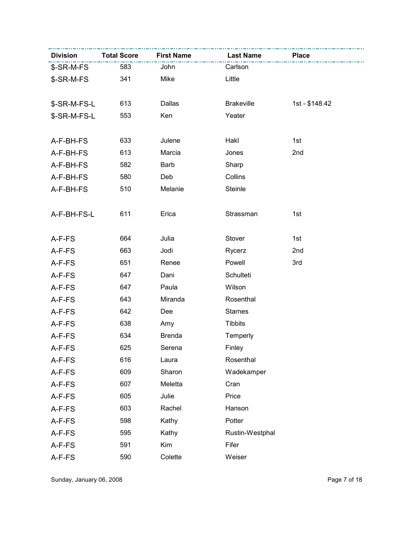| <b>Division</b> | <b>Total Score</b> | <b>First Name</b> | <b>Last Name</b>  | <b>Place</b>   |
|-----------------|--------------------|-------------------|-------------------|----------------|
| \$-SR-M-FS      | 583                | John              | Carlson           |                |
| \$-SR-M-FS      | 341                | Mike              | Little            |                |
|                 |                    |                   |                   |                |
| \$-SR-M-FS-L    | 613                | Dallas            | <b>Brakeville</b> | 1st - \$148.42 |
| \$-SR-M-FS-L    | 553                | Ken               | Yeater            |                |
|                 |                    |                   |                   |                |
| A-F-BH-FS       | 633                | Julene            | Hakl              | 1st            |
| A-F-BH-FS       | 613                | Marcia            | Jones             | 2nd            |
| A-F-BH-FS       | 582                | Barb              | Sharp             |                |
| A-F-BH-FS       | 580                | Deb               | Collins           |                |
| A-F-BH-FS       | 510                | Melanie           | Steinle           |                |
|                 |                    |                   |                   |                |
| A-F-BH-FS-L     | 611                | Erica             | Strassman         | 1st            |
|                 |                    |                   |                   |                |
| A-F-FS          | 664                | Julia             | Stover            | 1st            |
| A-F-FS          | 663                | Jodi              | Rycerz            | 2nd            |
| A-F-FS          | 651                | Renee             | Powell            | 3rd            |
| A-F-FS          | 647                | Dani              | Schulteti         |                |
| A-F-FS          | 647                | Paula             | Wilson            |                |
| A-F-FS          | 643                | Miranda           | Rosenthal         |                |
| A-F-FS          | 642                | Dee               | <b>Starnes</b>    |                |
| A-F-FS          | 638                | Amy               | <b>Tibbits</b>    |                |
| A-F-FS          | 634                | <b>Brenda</b>     | Temperly          |                |
| A-F-FS          | 625                | Serena            | Finley            |                |
| A-F-FS          | 616                | Laura             | Rosenthal         |                |
| A-F-FS          | 609                | Sharon            | Wadekamper        |                |
| A-F-FS          | 607                | Meletta           | Cran              |                |
| A-F-FS          | 605                | Julie             | Price             |                |
| A-F-FS          | 603                | Rachel            | Hanson            |                |
| A-F-FS          | 598                | Kathy             | Potter            |                |
| A-F-FS          | 595                | Kathy             | Rustin-Westphal   |                |
| A-F-FS          | 591                | Kim               | Fifer             |                |
| A-F-FS          | 590                | Colette           | Weiser            |                |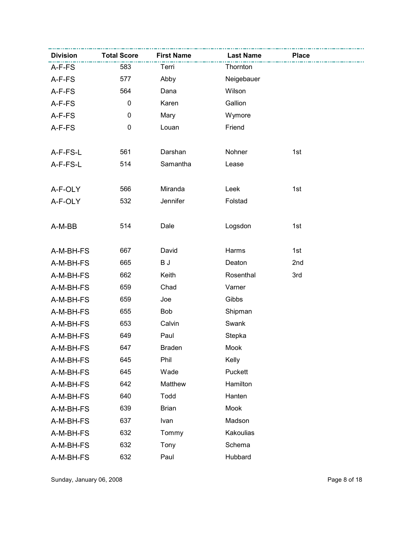| <b>Division</b> | <b>Total Score</b> | <b>First Name</b> | <b>Last Name</b> | <b>Place</b> |  |
|-----------------|--------------------|-------------------|------------------|--------------|--|
| A-F-FS          | 583                | Terri             | Thornton         |              |  |
| A-F-FS          | 577                | Abby              | Neigebauer       |              |  |
| A-F-FS          | 564                | Dana              | Wilson           |              |  |
| A-F-FS          | $\pmb{0}$          | Karen             | Gallion          |              |  |
| A-F-FS          | 0                  | Mary              | Wymore           |              |  |
| A-F-FS          | 0                  | Louan             | Friend           |              |  |
|                 |                    |                   |                  |              |  |
| A-F-FS-L        | 561                | Darshan           | Nohner           | 1st          |  |
| A-F-FS-L        | 514                | Samantha          | Lease            |              |  |
|                 |                    |                   |                  |              |  |
| A-F-OLY         | 566                | Miranda           | Leek             | 1st          |  |
| A-F-OLY         | 532                | Jennifer          | Folstad          |              |  |
|                 |                    |                   |                  |              |  |
| A-M-BB          | 514                | Dale              | Logsdon          | 1st          |  |
|                 |                    |                   |                  |              |  |
| A-M-BH-FS       | 667                | David             | Harms            | 1st          |  |
| A-M-BH-FS       | 665                | BJ                | Deaton           | 2nd          |  |
| A-M-BH-FS       | 662                | Keith             | Rosenthal        | 3rd          |  |
| A-M-BH-FS       | 659                | Chad              | Varner           |              |  |
| A-M-BH-FS       | 659                | Joe               | Gibbs            |              |  |
| A-M-BH-FS       | 655                | Bob               | Shipman          |              |  |
| A-M-BH-FS       | 653                | Calvin            | Swank            |              |  |
| A-M-BH-FS       | 649                | Paul              | Stepka           |              |  |
| A-M-BH-FS       | 647                | <b>Braden</b>     | Mook             |              |  |
| A-M-BH-FS       | 645                | Phil              | Kelly            |              |  |
| A-M-BH-FS       | 645                | Wade              | Puckett          |              |  |
| A-M-BH-FS       | 642                | Matthew           | Hamilton         |              |  |
| A-M-BH-FS       | 640                | Todd              | Hanten           |              |  |
| A-M-BH-FS       | 639                | <b>Brian</b>      | Mook             |              |  |
| A-M-BH-FS       | 637                | Ivan              | Madson           |              |  |
| A-M-BH-FS       | 632                | Tommy             | Kakoulias        |              |  |
| A-M-BH-FS       | 632                | Tony              | Schema           |              |  |
| A-M-BH-FS       | 632                | Paul              | Hubbard          |              |  |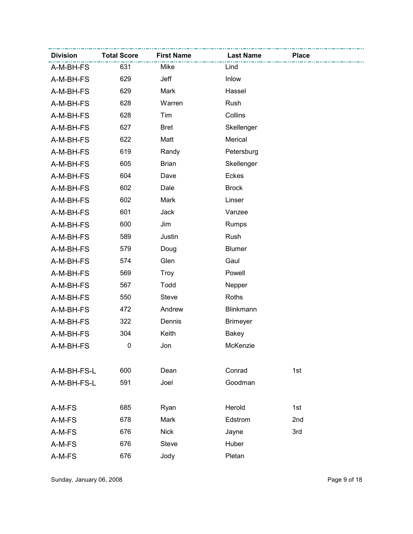| <b>Division</b> | <b>Total Score</b> | <b>First Name</b> | <b>Last Name</b> | <b>Place</b> |
|-----------------|--------------------|-------------------|------------------|--------------|
| A-M-BH-FS       | 631                | Mike              | Lind             |              |
| A-M-BH-FS       | 629                | Jeff              | Inlow            |              |
| A-M-BH-FS       | 629                | Mark              | Hassel           |              |
| A-M-BH-FS       | 628                | Warren            | Rush             |              |
| A-M-BH-FS       | 628                | Tim               | Collins          |              |
| A-M-BH-FS       | 627                | <b>Bret</b>       | Skellenger       |              |
| A-M-BH-FS       | 622                | Matt              | Merical          |              |
| A-M-BH-FS       | 619                | Randy             | Petersburg       |              |
| A-M-BH-FS       | 605                | <b>Brian</b>      | Skellenger       |              |
| A-M-BH-FS       | 604                | Dave              | Eckes            |              |
| A-M-BH-FS       | 602                | Dale              | <b>Brock</b>     |              |
| A-M-BH-FS       | 602                | Mark              | Linser           |              |
| A-M-BH-FS       | 601                | Jack              | Vanzee           |              |
| A-M-BH-FS       | 600                | Jim               | Rumps            |              |
| A-M-BH-FS       | 589                | Justin            | Rush             |              |
| A-M-BH-FS       | 579                | Doug              | <b>Blumer</b>    |              |
| A-M-BH-FS       | 574                | Glen              | Gaul             |              |
| A-M-BH-FS       | 569                | Troy              | Powell           |              |
| A-M-BH-FS       | 567                | Todd              | Nepper           |              |
| A-M-BH-FS       | 550                | <b>Steve</b>      | Roths            |              |
| A-M-BH-FS       | 472                | Andrew            | Blinkmann        |              |
| A-M-BH-FS       | 322                | Dennis            | <b>Brimeyer</b>  |              |
| A-M-BH-FS       | 304                | Keith             | Bakey            |              |
| A-M-BH-FS       | 0                  | Jon               | McKenzie         |              |
|                 |                    |                   |                  |              |
| A-M-BH-FS-L     | 600                | Dean              | Conrad           | 1st          |
| A-M-BH-FS-L     | 591                | Joel              | Goodman          |              |
|                 |                    |                   |                  |              |
| A-M-FS          | 685                | Ryan              | Herold           | 1st          |
| A-M-FS          | 678                | Mark              | Edstrom          | 2nd          |
| A-M-FS          | 676                | <b>Nick</b>       | Jayne            | 3rd          |
| A-M-FS          | 676                | <b>Steve</b>      | Huber            |              |
| A-M-FS          | 676                | Jody              | Pletan           |              |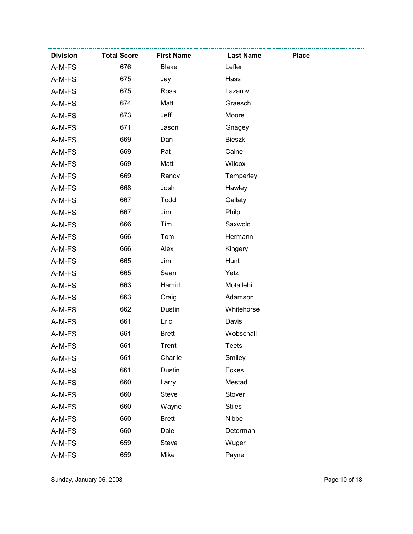| <b>Division</b> | <b>Total Score</b> | <b>First Name</b> | <b>Last Name</b> | <b>Place</b> |
|-----------------|--------------------|-------------------|------------------|--------------|
| A-M-FS          | 676                | Blake             | Lefler           |              |
| A-M-FS          | 675                | Jay               | Hass             |              |
| A-M-FS          | 675                | Ross              | Lazarov          |              |
| A-M-FS          | 674                | Matt              | Graesch          |              |
| A-M-FS          | 673                | Jeff              | Moore            |              |
| A-M-FS          | 671                | Jason             | Gnagey           |              |
| A-M-FS          | 669                | Dan               | <b>Bieszk</b>    |              |
| A-M-FS          | 669                | Pat               | Caine            |              |
| A-M-FS          | 669                | Matt              | Wilcox           |              |
| A-M-FS          | 669                | Randy             | Temperley        |              |
| A-M-FS          | 668                | Josh              | Hawley           |              |
| A-M-FS          | 667                | Todd              | Gallaty          |              |
| A-M-FS          | 667                | Jim               | Philp            |              |
| A-M-FS          | 666                | Tim               | Saxwold          |              |
| A-M-FS          | 666                | Tom               | Hermann          |              |
| A-M-FS          | 666                | Alex              | Kingery          |              |
| A-M-FS          | 665                | Jim               | Hunt             |              |
| A-M-FS          | 665                | Sean              | Yetz             |              |
| A-M-FS          | 663                | Hamid             | Motallebi        |              |
| A-M-FS          | 663                | Craig             | Adamson          |              |
| A-M-FS          | 662                | Dustin            | Whitehorse       |              |
| A-M-FS          | 661                | Eric              | Davis            |              |
| A-M-FS          | 661                | <b>Brett</b>      | Wobschall        |              |
| A-M-FS          | 661                | Trent             | <b>Teets</b>     |              |
| A-M-FS          | 661                | Charlie           | Smiley           |              |
| A-M-FS          | 661                | Dustin            | Eckes            |              |
| A-M-FS          | 660                | Larry             | Mestad           |              |
| A-M-FS          | 660                | <b>Steve</b>      | Stover           |              |
| A-M-FS          | 660                | Wayne             | <b>Stiles</b>    |              |
| A-M-FS          | 660                | <b>Brett</b>      | Nibbe            |              |
| A-M-FS          | 660                | Dale              | Determan         |              |
| A-M-FS          | 659                | <b>Steve</b>      | Wuger            |              |
| A-M-FS          | 659                | Mike              | Payne            |              |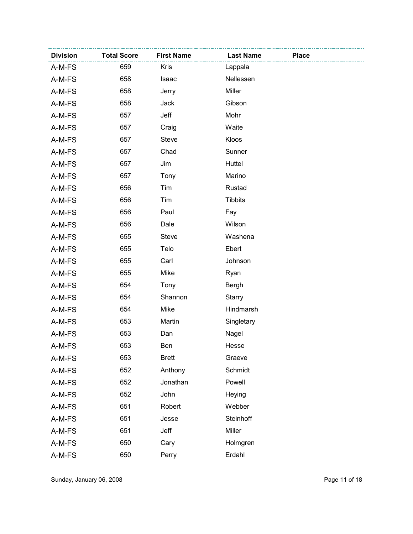| <b>Division</b> | <b>Total Score</b> | <b>First Name</b> | <b>Last Name</b> | <b>Place</b> |
|-----------------|--------------------|-------------------|------------------|--------------|
| A-M-FS          | 659                | <b>Kris</b>       | Lappala          |              |
| A-M-FS          | 658                | Isaac             | Nellessen        |              |
| A-M-FS          | 658                | Jerry             | Miller           |              |
| A-M-FS          | 658                | Jack              | Gibson           |              |
| A-M-FS          | 657                | Jeff              | Mohr             |              |
| A-M-FS          | 657                | Craig             | Waite            |              |
| A-M-FS          | 657                | <b>Steve</b>      | Kloos            |              |
| A-M-FS          | 657                | Chad              | Sunner           |              |
| A-M-FS          | 657                | Jim               | Huttel           |              |
| A-M-FS          | 657                | Tony              | Marino           |              |
| A-M-FS          | 656                | Tim               | Rustad           |              |
| A-M-FS          | 656                | Tim               | <b>Tibbits</b>   |              |
| A-M-FS          | 656                | Paul              | Fay              |              |
| A-M-FS          | 656                | Dale              | Wilson           |              |
| A-M-FS          | 655                | <b>Steve</b>      | Washena          |              |
| A-M-FS          | 655                | Telo              | Ebert            |              |
| A-M-FS          | 655                | Carl              | Johnson          |              |
| A-M-FS          | 655                | Mike              | Ryan             |              |
| A-M-FS          | 654                | Tony              | Bergh            |              |
| A-M-FS          | 654                | Shannon           | <b>Starry</b>    |              |
| A-M-FS          | 654                | Mike              | Hindmarsh        |              |
| A-M-FS          | 653                | Martin            | Singletary       |              |
| A-M-FS          | 653                | Dan               | Nagel            |              |
| A-M-FS          | 653                | Ben               | Hesse            |              |
| A-M-FS          | 653                | <b>Brett</b>      | Graeve           |              |
| A-M-FS          | 652                | Anthony           | Schmidt          |              |
| A-M-FS          | 652                | Jonathan          | Powell           |              |
| A-M-FS          | 652                | John              | Heying           |              |
| A-M-FS          | 651                | Robert            | Webber           |              |
| A-M-FS          | 651                | Jesse             | Steinhoff        |              |
| A-M-FS          | 651                | Jeff              | Miller           |              |
| A-M-FS          | 650                | Cary              | Holmgren         |              |
| A-M-FS          | 650                | Perry             | Erdahl           |              |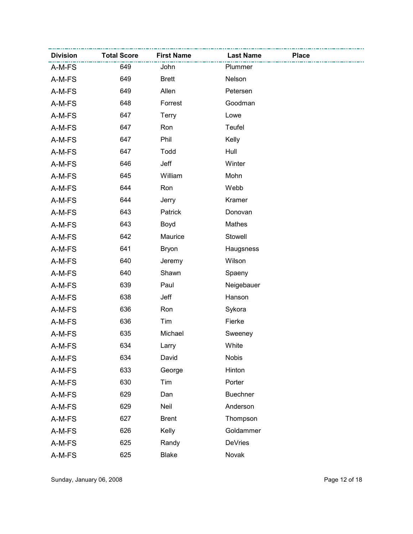| <b>Division</b> | <b>Total Score</b> | <b>First Name</b> | <b>Last Name</b> | <b>Place</b> |
|-----------------|--------------------|-------------------|------------------|--------------|
| A-M-FS          | 649                | John              | Plummer          |              |
| A-M-FS          | 649                | <b>Brett</b>      | Nelson           |              |
| A-M-FS          | 649                | Allen             | Petersen         |              |
| A-M-FS          | 648                | Forrest           | Goodman          |              |
| A-M-FS          | 647                | <b>Terry</b>      | Lowe             |              |
| A-M-FS          | 647                | Ron               | Teufel           |              |
| A-M-FS          | 647                | Phil              | Kelly            |              |
| A-M-FS          | 647                | Todd              | Hull             |              |
| A-M-FS          | 646                | Jeff              | Winter           |              |
| A-M-FS          | 645                | William           | Mohn             |              |
| A-M-FS          | 644                | Ron               | Webb             |              |
| A-M-FS          | 644                | Jerry             | Kramer           |              |
| A-M-FS          | 643                | Patrick           | Donovan          |              |
| A-M-FS          | 643                | Boyd              | Mathes           |              |
| A-M-FS          | 642                | Maurice           | Stowell          |              |
| A-M-FS          | 641                | <b>Bryon</b>      | Haugsness        |              |
| A-M-FS          | 640                | Jeremy            | Wilson           |              |
| A-M-FS          | 640                | Shawn             | Spaeny           |              |
| A-M-FS          | 639                | Paul              | Neigebauer       |              |
| A-M-FS          | 638                | Jeff              | Hanson           |              |
| A-M-FS          | 636                | Ron               | Sykora           |              |
| A-M-FS          | 636                | Tim               | Fierke           |              |
| A-M-FS          | 635                | Michael           | Sweeney          |              |
| A-M-FS          | 634                | Larry             | White            |              |
| A-M-FS          | 634                | David             | <b>Nobis</b>     |              |
| A-M-FS          | 633                | George            | Hinton           |              |
| A-M-FS          | 630                | Tim               | Porter           |              |
| A-M-FS          | 629                | Dan               | <b>Buechner</b>  |              |
| A-M-FS          | 629                | Neil              | Anderson         |              |
| A-M-FS          | 627                | <b>Brent</b>      | Thompson         |              |
| A-M-FS          | 626                | Kelly             | Goldammer        |              |
| A-M-FS          | 625                | Randy             | <b>DeVries</b>   |              |
| A-M-FS          | 625                | <b>Blake</b>      | Novak            |              |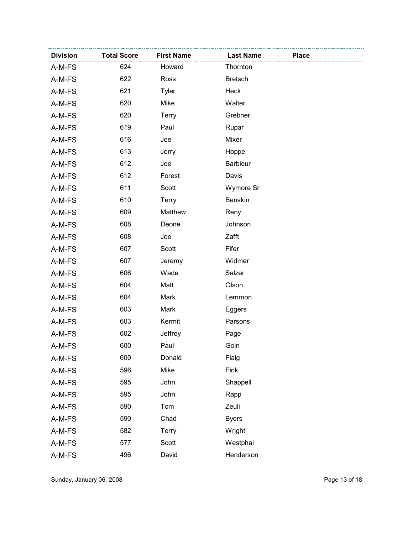| <b>Division</b> | <b>Total Score</b> | <b>First Name</b> | <b>Last Name</b> | <b>Place</b> |
|-----------------|--------------------|-------------------|------------------|--------------|
| A-M-FS          | 624                | Howard            | Thornton         |              |
| A-M-FS          | 622                | Ross              | <b>Bretsch</b>   |              |
| A-M-FS          | 621                | <b>Tyler</b>      | Heck             |              |
| A-M-FS          | 620                | Mike              | Walter           |              |
| A-M-FS          | 620                | <b>Terry</b>      | Grebner          |              |
| A-M-FS          | 619                | Paul              | Rupar            |              |
| A-M-FS          | 616                | Joe               | Mixer            |              |
| A-M-FS          | 613                | Jerry             | Hoppe            |              |
| A-M-FS          | 612                | Joe               | <b>Barbieur</b>  |              |
| A-M-FS          | 612                | Forest            | Davis            |              |
| A-M-FS          | 611                | Scott             | Wymore Sr        |              |
| A-M-FS          | 610                | Terry             | Benskin          |              |
| A-M-FS          | 609                | Matthew           | Reny             |              |
| A-M-FS          | 608                | Deone             | Johnson          |              |
| A-M-FS          | 608                | Joe               | Zafft            |              |
| A-M-FS          | 607                | Scott             | Fifer            |              |
| A-M-FS          | 607                | Jeremy            | Widmer           |              |
| A-M-FS          | 606                | Wade              | Salzer           |              |
| A-M-FS          | 604                | Matt              | Olson            |              |
| A-M-FS          | 604                | Mark              | Lemmon           |              |
| A-M-FS          | 603                | Mark              | Eggers           |              |
| A-M-FS          | 603                | Kermit            | Parsons          |              |
| A-M-FS          | 602                | Jeffrey           | Page             |              |
| A-M-FS          | 600                | Paul              | Goin             |              |
| A-M-FS          | 600                | Donald            | Flaig            |              |
| A-M-FS          | 596                | Mike              | Fink             |              |
| A-M-FS          | 595                | John              | Shappell         |              |
| A-M-FS          | 595                | John              | Rapp             |              |
| A-M-FS          | 590                | Tom               | Zeuli            |              |
| A-M-FS          | 590                | Chad              | <b>Byers</b>     |              |
| A-M-FS          | 582                | Terry             | Wright           |              |
| A-M-FS          | 577                | Scott             | Westphal         |              |
| A-M-FS          | 496                | David             | Henderson        |              |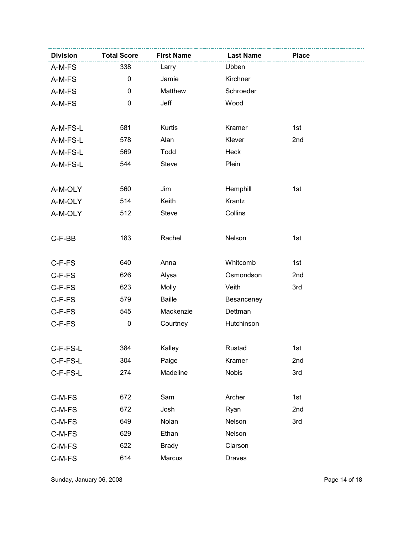| <b>Division</b> | <b>Total Score</b> | <b>First Name</b> | <b>Last Name</b> | <b>Place</b> |  |
|-----------------|--------------------|-------------------|------------------|--------------|--|
| A-M-FS          | 338                | Larry             | Ubben            |              |  |
| A-M-FS          | $\pmb{0}$          | Jamie             | Kirchner         |              |  |
| A-M-FS          | $\mathbf 0$        | Matthew           | Schroeder        |              |  |
| A-M-FS          | $\mathbf 0$        | Jeff              | Wood             |              |  |
|                 |                    |                   |                  |              |  |
| A-M-FS-L        | 581                | Kurtis            | Kramer           | 1st          |  |
| A-M-FS-L        | 578                | Alan              | Klever           | 2nd          |  |
| A-M-FS-L        | 569                | Todd              | Heck             |              |  |
| A-M-FS-L        | 544                | <b>Steve</b>      | Plein            |              |  |
|                 |                    |                   |                  |              |  |
| A-M-OLY         | 560                | Jim               | Hemphill         | 1st          |  |
| A-M-OLY         | 514                | Keith             | Krantz           |              |  |
| A-M-OLY         | 512                | <b>Steve</b>      | Collins          |              |  |
|                 |                    |                   |                  |              |  |
| C-F-BB          | 183                | Rachel            | Nelson           | 1st          |  |
|                 |                    |                   |                  |              |  |
| C-F-FS          | 640                | Anna              | Whitcomb         | 1st          |  |
| C-F-FS          | 626                | Alysa             | Osmondson        | 2nd          |  |
| C-F-FS          | 623                | Molly             | Veith            | 3rd          |  |
| C-F-FS          | 579                | <b>Baille</b>     | Besanceney       |              |  |
| C-F-FS          | 545                | Mackenzie         | Dettman          |              |  |
| C-F-FS          | $\pmb{0}$          | Courtney          | Hutchinson       |              |  |
|                 |                    |                   |                  |              |  |
| C-F-FS-L        | 384                | Kalley            | Rustad           | 1st          |  |
| C-F-FS-L        | 304                | Paige             | Kramer           | 2nd          |  |
| C-F-FS-L        | 274                | Madeline          | <b>Nobis</b>     | 3rd          |  |
|                 |                    |                   |                  |              |  |
| C-M-FS          | 672                | Sam               | Archer           | 1st          |  |
| C-M-FS          | 672                | Josh              | Ryan             | 2nd          |  |
| C-M-FS          | 649                | Nolan             | Nelson           | 3rd          |  |
| C-M-FS          | 629                | Ethan             | Nelson           |              |  |
| C-M-FS          | 622                | <b>Brady</b>      | Clarson          |              |  |
| $C-M-FS$        | 614                | Marcus            | <b>Draves</b>    |              |  |

Sunday, January 06, 2008 **Page 14 of 18**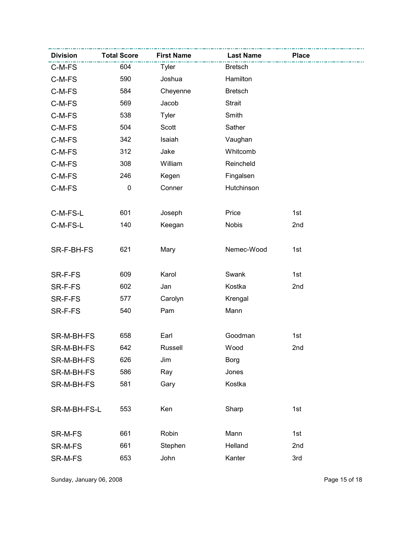| <b>Division</b> | <b>Total Score</b> | <b>First Name</b> | <b>Last Name</b> | <b>Place</b> |
|-----------------|--------------------|-------------------|------------------|--------------|
| C-M-FS          | 604                | Tyler             | <b>Bretsch</b>   |              |
| C-M-FS          | 590                | Joshua            | Hamilton         |              |
| C-M-FS          | 584                | Cheyenne          | <b>Bretsch</b>   |              |
| C-M-FS          | 569                | Jacob             | <b>Strait</b>    |              |
| C-M-FS          | 538                | <b>Tyler</b>      | Smith            |              |
| C-M-FS          | 504                | Scott             | Sather           |              |
| C-M-FS          | 342                | Isaiah            | Vaughan          |              |
| C-M-FS          | 312                | Jake              | Whitcomb         |              |
| C-M-FS          | 308                | William           | Reincheld        |              |
| C-M-FS          | 246                | Kegen             | Fingalsen        |              |
| C-M-FS          | $\mathbf 0$        | Conner            | Hutchinson       |              |
|                 |                    |                   |                  |              |
| C-M-FS-L        | 601                | Joseph            | Price            | 1st          |
| C-M-FS-L        | 140                | Keegan            | <b>Nobis</b>     | 2nd          |
|                 |                    |                   |                  |              |
| SR-F-BH-FS      | 621                | Mary              | Nemec-Wood       | 1st          |
|                 |                    |                   |                  |              |
| SR-F-FS         | 609                | Karol             | Swank            | 1st          |
| SR-F-FS         | 602                | Jan               | Kostka           | 2nd          |
| SR-F-FS         | 577                | Carolyn           | Krengal          |              |
| SR-F-FS         | 540                | Pam               | Mann             |              |
|                 |                    |                   |                  |              |
| SR-M-BH-FS      | 658                | Earl              | Goodman          | 1st          |
| SR-M-BH-FS      | 642                | Russell           | Wood             | 2nd          |
| SR-M-BH-FS      | 626                | Jim               | <b>Borg</b>      |              |
| SR-M-BH-FS      | 586                | Ray               | Jones            |              |
| SR-M-BH-FS      | 581                | Gary              | Kostka           |              |
|                 |                    |                   |                  |              |
| SR-M-BH-FS-L    | 553                | Ken               | Sharp            | 1st          |
|                 |                    |                   |                  |              |
| SR-M-FS         | 661                | Robin             | Mann             | 1st          |
| SR-M-FS         | 661                | Stephen           | Helland          | 2nd          |
| SR-M-FS         | 653                | John              | Kanter           | 3rd          |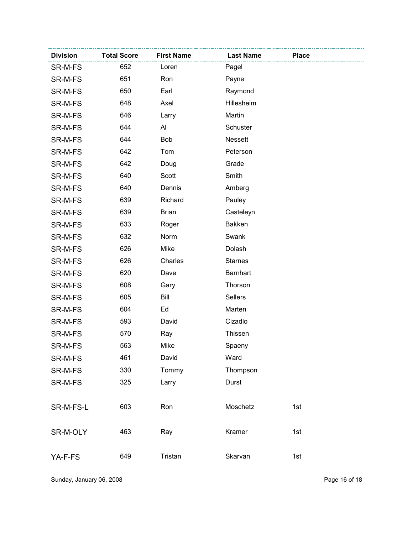| <b>Division</b> | <b>Total Score</b> | <b>First Name</b> | <b>Last Name</b> | <b>Place</b> |  |
|-----------------|--------------------|-------------------|------------------|--------------|--|
| SR-M-FS         | 652                | Loren             | Pagel            |              |  |
| SR-M-FS         | 651                | Ron               | Payne            |              |  |
| SR-M-FS         | 650                | Earl              | Raymond          |              |  |
| SR-M-FS         | 648                | Axel              | Hillesheim       |              |  |
| SR-M-FS         | 646                | Larry             | Martin           |              |  |
| SR-M-FS         | 644                | Al                | Schuster         |              |  |
| SR-M-FS         | 644                | Bob               | <b>Nessett</b>   |              |  |
| SR-M-FS         | 642                | Tom               | Peterson         |              |  |
| SR-M-FS         | 642                | Doug              | Grade            |              |  |
| SR-M-FS         | 640                | Scott             | Smith            |              |  |
| SR-M-FS         | 640                | Dennis            | Amberg           |              |  |
| SR-M-FS         | 639                | Richard           | Pauley           |              |  |
| SR-M-FS         | 639                | <b>Brian</b>      | Casteleyn        |              |  |
| SR-M-FS         | 633                | Roger             | <b>Bakken</b>    |              |  |
| SR-M-FS         | 632                | Norm              | Swank            |              |  |
| SR-M-FS         | 626                | Mike              | Dolash           |              |  |
| SR-M-FS         | 626                | Charles           | <b>Starnes</b>   |              |  |
| SR-M-FS         | 620                | Dave              | <b>Barnhart</b>  |              |  |
| SR-M-FS         | 608                | Gary              | Thorson          |              |  |
| SR-M-FS         | 605                | Bill              | <b>Sellers</b>   |              |  |
| SR-M-FS         | 604                | Ed                | Marten           |              |  |
| SR-M-FS         | 593                | David             | Cizadlo          |              |  |
| SR-M-FS         | 570                | Ray               | Thissen          |              |  |
| SR-M-FS         | 563                | Mike              | Spaeny           |              |  |
| SR-M-FS         | 461                | David             | Ward             |              |  |
| SR-M-FS         | 330                | Tommy             | Thompson         |              |  |
| SR-M-FS         | 325                | Larry             | Durst            |              |  |
|                 |                    |                   |                  |              |  |
| SR-M-FS-L       | 603                | Ron               | Moschetz         | 1st          |  |
|                 |                    |                   |                  |              |  |
| SR-M-OLY        | 463                | Ray               | Kramer           | 1st          |  |
|                 |                    |                   |                  |              |  |
| YA-F-FS         | 649                | Tristan           | Skarvan          | 1st          |  |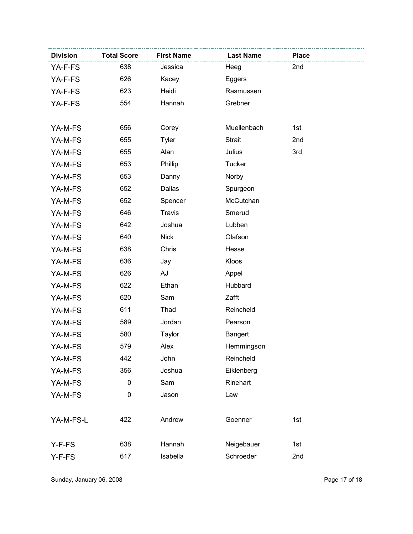| <b>Division</b> | <b>Total Score</b> | <b>First Name</b> | <b>Last Name</b> | <b>Place</b> |
|-----------------|--------------------|-------------------|------------------|--------------|
| YA-F-FS         | 638                | Jessica           | Heeg             | 2nd          |
| YA-F-FS         | 626                | Kacey             | Eggers           |              |
| YA-F-FS         | 623                | Heidi             | Rasmussen        |              |
| YA-F-FS         | 554                | Hannah            | Grebner          |              |
|                 |                    |                   |                  |              |
| YA-M-FS         | 656                | Corey             | Muellenbach      | 1st          |
| YA-M-FS         | 655                | <b>Tyler</b>      | <b>Strait</b>    | 2nd          |
| YA-M-FS         | 655                | Alan              | Julius           | 3rd          |
| YA-M-FS         | 653                | Phillip           | Tucker           |              |
| YA-M-FS         | 653                | Danny             | Norby            |              |
| YA-M-FS         | 652                | Dallas            | Spurgeon         |              |
| YA-M-FS         | 652                | Spencer           | McCutchan        |              |
| YA-M-FS         | 646                | <b>Travis</b>     | Smerud           |              |
| YA-M-FS         | 642                | Joshua            | Lubben           |              |
| YA-M-FS         | 640                | <b>Nick</b>       | Olafson          |              |
| YA-M-FS         | 638                | Chris             | Hesse            |              |
| YA-M-FS         | 636                | Jay               | Kloos            |              |
| YA-M-FS         | 626                | AJ                | Appel            |              |
| YA-M-FS         | 622                | Ethan             | Hubbard          |              |
| YA-M-FS         | 620                | Sam               | Zafft            |              |
| YA-M-FS         | 611                | Thad              | Reincheld        |              |
| YA-M-FS         | 589                | Jordan            | Pearson          |              |
| YA-M-FS         | 580                | Taylor            | <b>Bangert</b>   |              |
| YA-M-FS         | 579                | Alex              | Hemmingson       |              |
| YA-M-FS         | 442                | John              | Reincheld        |              |
| YA-M-FS         | 356                | Joshua            | Eiklenberg       |              |
| YA-M-FS         | $\pmb{0}$          | Sam               | Rinehart         |              |
| YA-M-FS         | $\mathbf 0$        | Jason             | Law              |              |
|                 |                    |                   |                  |              |
| YA-M-FS-L       | 422                | Andrew            | Goenner          | 1st          |
|                 |                    |                   |                  |              |
| Y-F-FS          | 638                | Hannah            | Neigebauer       | 1st          |
| Y-F-FS          | 617                | Isabella          | Schroeder        | 2nd          |